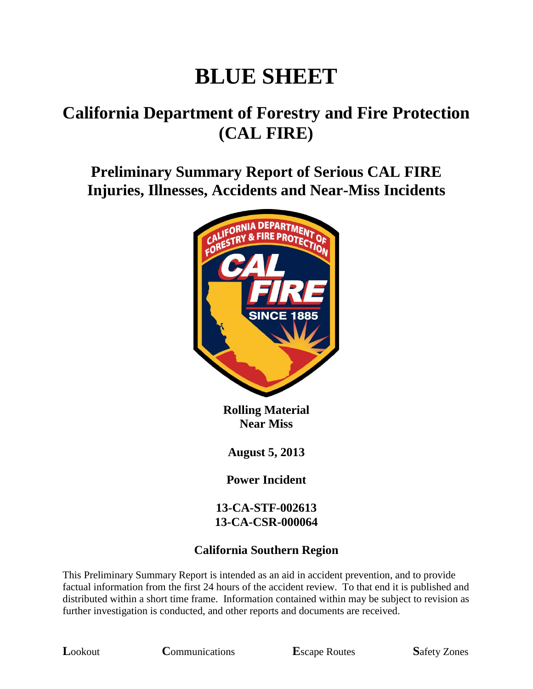# **BLUE SHEET**

## **California Department of Forestry and Fire Protection (CAL FIRE)**

**Preliminary Summary Report of Serious CAL FIRE Injuries, Illnesses, Accidents and Near-Miss Incidents**



**Rolling Material Near Miss**

**August 5, 2013**

**Power Incident**

**13-CA-STF-002613 13-CA-CSR-000064**

#### **California Southern Region**

This Preliminary Summary Report is intended as an aid in accident prevention, and to provide factual information from the first 24 hours of the accident review. To that end it is published and distributed within a short time frame. Information contained within may be subject to revision as further investigation is conducted, and other reports and documents are received.

**L**ookout **C**ommunications **E**scape Routes **S**afety Zones